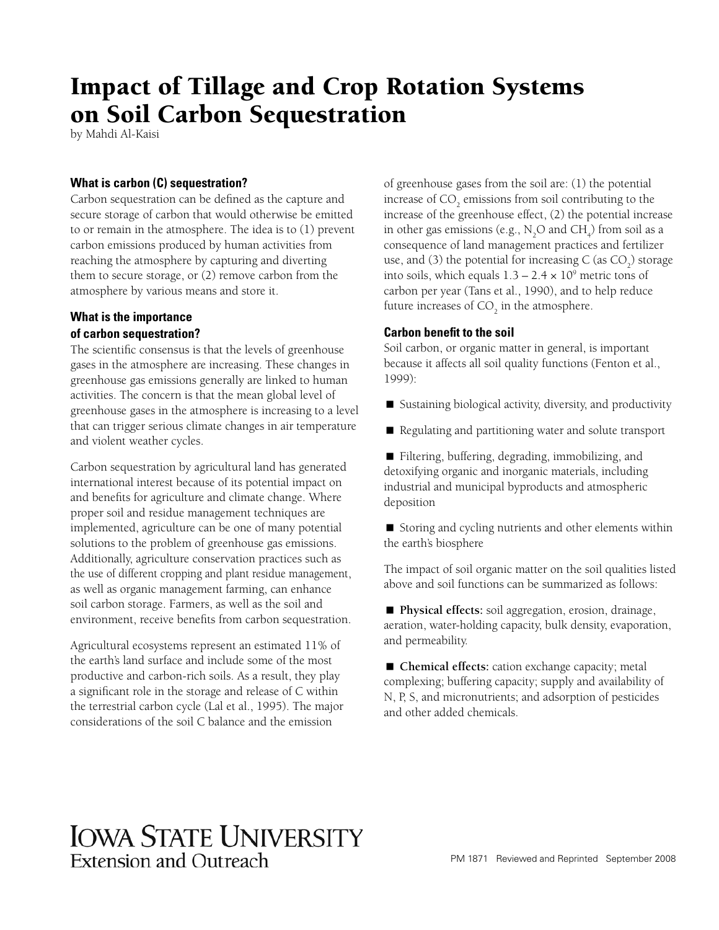# Impact of Tillage and Crop Rotation Systems on Soil Carbon Sequestration

by Mahdi Al-Kaisi

# **What is carbon (C) sequestration?**

Carbon sequestration can be defined as the capture and secure storage of carbon that would otherwise be emitted to or remain in the atmosphere. The idea is to (1) prevent carbon emissions produced by human activities from reaching the atmosphere by capturing and diverting them to secure storage, or (2) remove carbon from the atmosphere by various means and store it.

# **What is the importance of carbon sequestration?**

The scientific consensus is that the levels of greenhouse gases in the atmosphere are increasing. These changes in greenhouse gas emissions generally are linked to human activities. The concern is that the mean global level of greenhouse gases in the atmosphere is increasing to a level that can trigger serious climate changes in air temperature and violent weather cycles.

Carbon sequestration by agricultural land has generated international interest because of its potential impact on and benefits for agriculture and climate change. Where proper soil and residue management techniques are implemented, agriculture can be one of many potential solutions to the problem of greenhouse gas emissions. Additionally, agriculture conservation practices such as the use of different cropping and plant residue management, as well as organic management farming, can enhance soil carbon storage. Farmers, as well as the soil and environment, receive benefits from carbon sequestration.

Agricultural ecosystems represent an estimated 11% of the earth's land surface and include some of the most productive and carbon-rich soils. As a result, they play a significant role in the storage and release of C within the terrestrial carbon cycle (Lal et al., 1995). The major considerations of the soil C balance and the emission

of greenhouse gases from the soil are: (1) the potential increase of  $\mathrm{CO}_2$  emissions from soil contributing to the increase of the greenhouse effect, (2) the potential increase in other gas emissions (e.g.,  $N_2O$  and  $CH_4$ ) from soil as a consequence of land management practices and fertilizer use, and (3) the potential for increasing  $C$  (as  $CO<sub>2</sub>$ ) storage into soils, which equals  $1.3 - 2.4 \times 10^9$  metric tons of carbon per year (Tans et al., 1990), and to help reduce future increases of  $\mathrm{CO}_2$  in the atmosphere.

# **Carbon benefit to the soil**

Soil carbon, or organic matter in general, is important because it affects all soil quality functions (Fenton et al., 1999):

- Sustaining biological activity, diversity, and productivity
- Regulating and partitioning water and solute transport
- Filtering, buffering, degrading, immobilizing, and detoxifying organic and inorganic materials, including industrial and municipal byproducts and atmospheric deposition

■ Storing and cycling nutrients and other elements within the earth's biosphere

The impact of soil organic matter on the soil qualities listed above and soil functions can be summarized as follows:

■ **Physical effects:** soil aggregation, erosion, drainage, aeration, water-holding capacity, bulk density, evaporation, and permeability.

■ **Chemical effects:** cation exchange capacity; metal complexing; buffering capacity; supply and availability of N, P, S, and micronutrients; and adsorption of pesticides and other added chemicals.

# **IOWA STATE UNIVERSITY** Extension and Outreach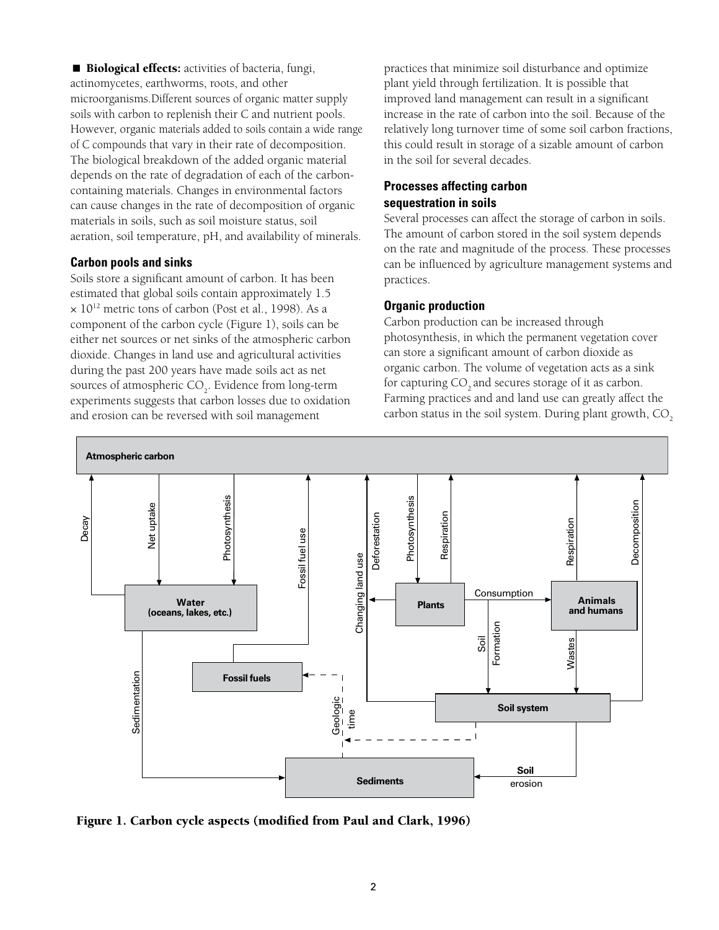**Biological effects:** activities of bacteria, fungi, actinomycetes, earthworms, roots, and other microorganisms.Different sources of organic matter supply soils with carbon to replenish their C and nutrient pools. However, organic materials added to soils contain a wide range of C compounds that vary in their rate of decomposition. The biological breakdown of the added organic material depends on the rate of degradation of each of the carboncontaining materials. Changes in environmental factors can cause changes in the rate of decomposition of organic materials in soils, such as soil moisture status, soil aeration, soil temperature, pH, and availability of minerals.

#### **Carbon pools and sinks**

Soils store a significant amount of carbon. It has been estimated that global soils contain approximately 1.5  $\times$  10<sup>12</sup> metric tons of carbon (Post et al., 1998). As a component of the carbon cycle (Figure 1), soils can be either net sources or net sinks of the atmospheric carbon dioxide. Changes in land use and agricultural activities during the past 200 years have made soils act as net sources of atmospheric  $CO<sub>2</sub>$ . Evidence from long-term experiments suggests that carbon losses due to oxidation and erosion can be reversed with soil management

practices that minimize soil disturbance and optimize plant yield through fertilization. It is possible that improved land management can result in a significant increase in the rate of carbon into the soil. Because of the relatively long turnover time of some soil carbon fractions, this could result in storage of a sizable amount of carbon in the soil for several decades.

# **Processes affecting carbon sequestration in soils**

Several processes can affect the storage of carbon in soils. The amount of carbon stored in the soil system depends on the rate and magnitude of the process. These processes can be influenced by agriculture management systems and practices.

#### **Organic production**

Carbon production can be increased through photosynthesis, in which the permanent vegetation cover can store a significant amount of carbon dioxide as organic carbon. The volume of vegetation acts as a sink for capturing CO<sub>2</sub> and secures storage of it as carbon. Farming practices and and land use can greatly affect the carbon status in the soil system. During plant growth, CO<sub>2</sub>



Figure 1. Carbon cycle aspects (modified from Paul and Clark, 1996)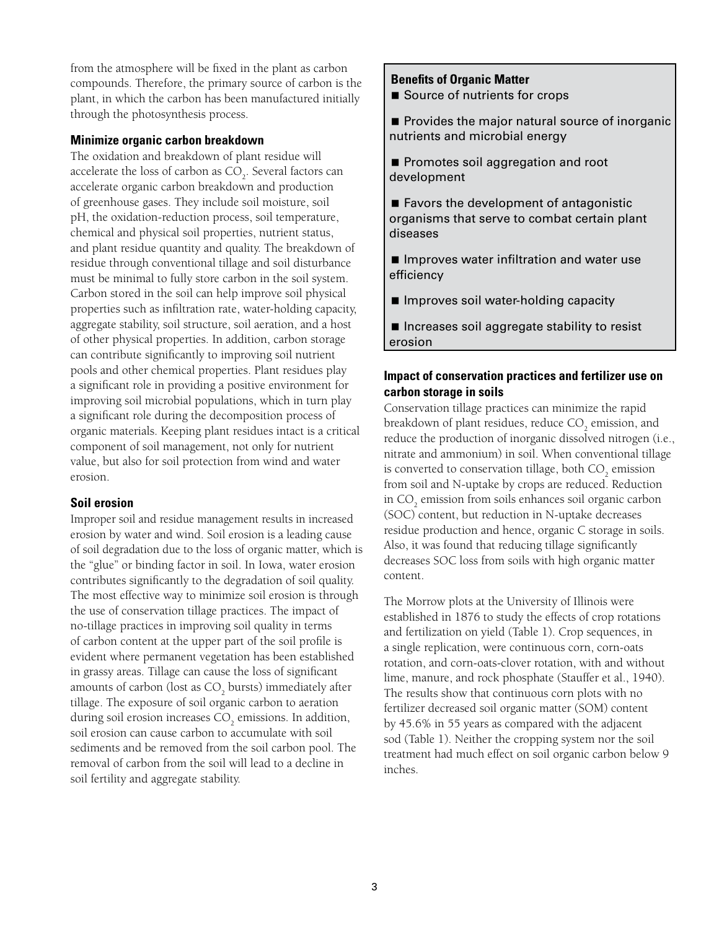from the atmosphere will be fixed in the plant as carbon compounds. Therefore, the primary source of carbon is the plant, in which the carbon has been manufactured initially through the photosynthesis process.

#### **Minimize organic carbon breakdown**

The oxidation and breakdown of plant residue will accelerate the loss of carbon as  $\mathrm{CO}_2^+$ . Several factors can accelerate organic carbon breakdown and production of greenhouse gases. They include soil moisture, soil pH, the oxidation-reduction process, soil temperature, chemical and physical soil properties, nutrient status, and plant residue quantity and quality. The breakdown of residue through conventional tillage and soil disturbance must be minimal to fully store carbon in the soil system. Carbon stored in the soil can help improve soil physical properties such as infiltration rate, water-holding capacity, aggregate stability, soil structure, soil aeration, and a host of other physical properties. In addition, carbon storage can contribute significantly to improving soil nutrient pools and other chemical properties. Plant residues play a significant role in providing a positive environment for improving soil microbial populations, which in turn play a significant role during the decomposition process of organic materials. Keeping plant residues intact is a critical component of soil management, not only for nutrient value, but also for soil protection from wind and water erosion.

#### **Soil erosion**

Improper soil and residue management results in increased erosion by water and wind. Soil erosion is a leading cause of soil degradation due to the loss of organic matter, which is the "glue" or binding factor in soil. In Iowa, water erosion contributes significantly to the degradation of soil quality. The most effective way to minimize soil erosion is through the use of conservation tillage practices. The impact of no-tillage practices in improving soil quality in terms of carbon content at the upper part of the soil profile is evident where permanent vegetation has been established in grassy areas. Tillage can cause the loss of significant amounts of carbon (lost as  $\mathrm{CO}_2$  bursts) immediately after tillage. The exposure of soil organic carbon to aeration during soil erosion increases  $\mathrm{CO}_2$  emissions. In addition, soil erosion can cause carbon to accumulate with soil sediments and be removed from the soil carbon pool. The removal of carbon from the soil will lead to a decline in soil fertility and aggregate stability.

#### **Benefits of Organic Matter**

Source of nutrients for crops

**Provides the major natural source of inorganic** nutrients and microbial energy

- Promotes soil aggregation and root development
- Favors the development of antagonistic organisms that serve to combat certain plant diseases
- $\blacksquare$  Improves water infiltration and water use efficiency
- **I** Improves soil water-holding capacity
- Increases soil aggregate stability to resist erosion

### **Impact of conservation practices and fertilizer use on carbon storage in soils**

Conservation tillage practices can minimize the rapid breakdown of plant residues, reduce  $\mathrm{CO}_2$  emission, and reduce the production of inorganic dissolved nitrogen (i.e., nitrate and ammonium) in soil. When conventional tillage is converted to conservation tillage, both  $\mathrm{CO}_2$  emission from soil and N-uptake by crops are reduced. Reduction in  $\mathrm{CO}_2$  emission from soils enhances soil organic carbon (SOC) content, but reduction in N-uptake decreases residue production and hence, organic C storage in soils. Also, it was found that reducing tillage significantly decreases SOC loss from soils with high organic matter content.

The Morrow plots at the University of Illinois were established in 1876 to study the effects of crop rotations and fertilization on yield (Table 1). Crop sequences, in a single replication, were continuous corn, corn-oats rotation, and corn-oats-clover rotation, with and without lime, manure, and rock phosphate (Stauffer et al., 1940). The results show that continuous corn plots with no fertilizer decreased soil organic matter (SOM) content by 45.6% in 55 years as compared with the adjacent sod (Table 1). Neither the cropping system nor the soil treatment had much effect on soil organic carbon below 9 inches.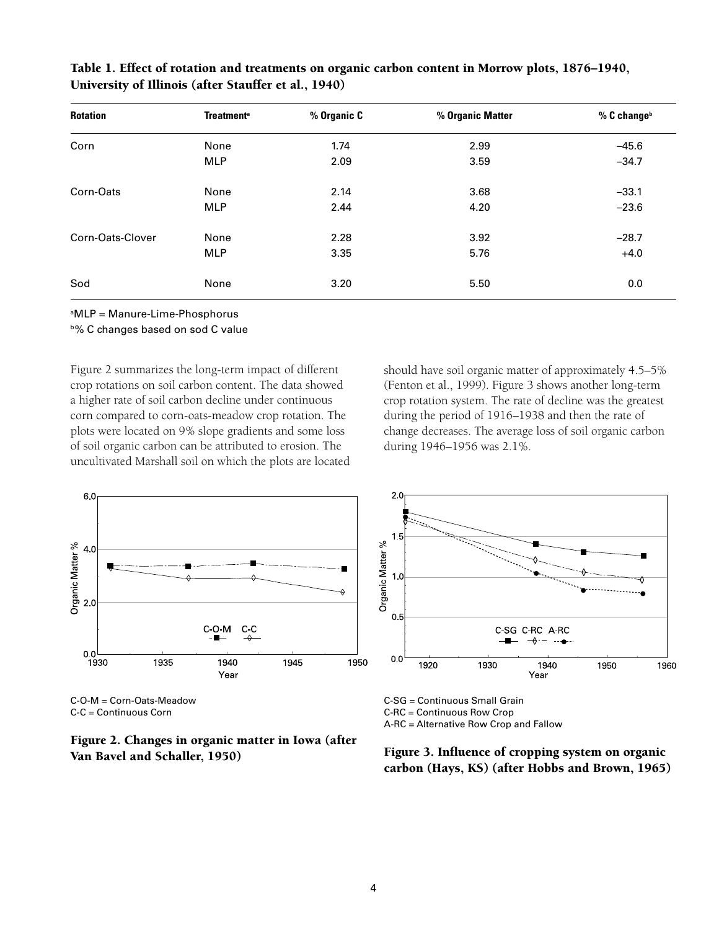| <b>Rotation</b>  | <b>Treatment<sup>a</sup></b> | % Organic C | % Organic Matter | % C change <sup>b</sup> |
|------------------|------------------------------|-------------|------------------|-------------------------|
| Corn             | None                         | 1.74        | 2.99             | $-45.6$                 |
|                  | <b>MLP</b>                   | 2.09        | 3.59             | $-34.7$                 |
| Corn-Oats        | None                         | 2.14        | 3.68             | $-33.1$                 |
|                  | <b>MLP</b>                   | 2.44        | 4.20             | $-23.6$                 |
| Corn-Oats-Clover | None                         | 2.28        | 3.92             | $-28.7$                 |
|                  | <b>MLP</b>                   | 3.35        | 5.76             | $+4.0$                  |
| Sod              | None                         | 3.20        | 5.50             | 0.0                     |

Table 1. Effect of rotation and treatments on organic carbon content in Morrow plots, 1876–1940, University of Illinois (after Stauffer et al., 1940)

a MLP = Manure-Lime-Phosphorus

**b% C changes based on sod C value** 

Figure 2 summarizes the long-term impact of different crop rotations on soil carbon content. The data showed a higher rate of soil carbon decline under continuous corn compared to corn-oats-meadow crop rotation. The plots were located on 9% slope gradients and some loss of soil organic carbon can be attributed to erosion. The uncultivated Marshall soil on which the plots are located should have soil organic matter of approximately 4.5–5% (Fenton et al., 1999). Figure 3 shows another long-term crop rotation system. The rate of decline was the greatest during the period of 1916–1938 and then the rate of change decreases. The average loss of soil organic carbon during 1946–1956 was 2.1%.









C-SG = Continuous Small Grain C-RC = Continuous Row Crop A-RC = Alternative Row Crop and Fallow

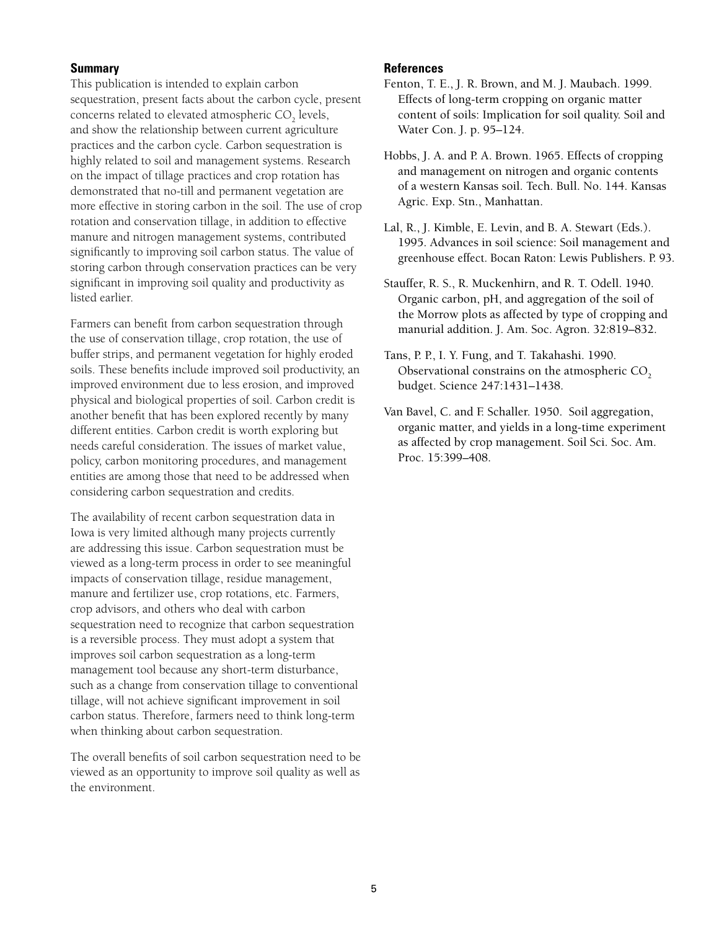#### **Summary**

This publication is intended to explain carbon sequestration, present facts about the carbon cycle, present concerns related to elevated atmospheric  $\mathrm{CO}_2^{\phantom{\dag}}$  levels, and show the relationship between current agriculture practices and the carbon cycle. Carbon sequestration is highly related to soil and management systems. Research on the impact of tillage practices and crop rotation has demonstrated that no-till and permanent vegetation are more effective in storing carbon in the soil. The use of crop rotation and conservation tillage, in addition to effective manure and nitrogen management systems, contributed significantly to improving soil carbon status. The value of storing carbon through conservation practices can be very significant in improving soil quality and productivity as listed earlier.

Farmers can benefit from carbon sequestration through the use of conservation tillage, crop rotation, the use of buffer strips, and permanent vegetation for highly eroded soils. These benefits include improved soil productivity, an improved environment due to less erosion, and improved physical and biological properties of soil. Carbon credit is another benefit that has been explored recently by many different entities. Carbon credit is worth exploring but needs careful consideration. The issues of market value, policy, carbon monitoring procedures, and management entities are among those that need to be addressed when considering carbon sequestration and credits.

The availability of recent carbon sequestration data in Iowa is very limited although many projects currently are addressing this issue. Carbon sequestration must be viewed as a long-term process in order to see meaningful impacts of conservation tillage, residue management, manure and fertilizer use, crop rotations, etc. Farmers, crop advisors, and others who deal with carbon sequestration need to recognize that carbon sequestration is a reversible process. They must adopt a system that improves soil carbon sequestration as a long-term management tool because any short-term disturbance, such as a change from conservation tillage to conventional tillage, will not achieve significant improvement in soil carbon status. Therefore, farmers need to think long-term when thinking about carbon sequestration.

The overall benefits of soil carbon sequestration need to be viewed as an opportunity to improve soil quality as well as the environment.

#### **References**

- Fenton, T. E., J. R. Brown, and M. J. Maubach. 1999. Effects of long-term cropping on organic matter content of soils: Implication for soil quality. Soil and Water Con. J. p. 95–124.
- Hobbs, J. A. and P. A. Brown. 1965. Effects of cropping and management on nitrogen and organic contents of a western Kansas soil. Tech. Bull. No. 144. Kansas Agric. Exp. Stn., Manhattan.
- Lal, R., J. Kimble, E. Levin, and B. A. Stewart (Eds.). 1995. Advances in soil science: Soil management and greenhouse effect. Bocan Raton: Lewis Publishers. P. 93.
- Stauffer, R. S., R. Muckenhirn, and R. T. Odell. 1940. Organic carbon, pH, and aggregation of the soil of the Morrow plots as affected by type of cropping and manurial addition. J. Am. Soc. Agron. 32:819–832.
- Tans, P. P., I. Y. Fung, and T. Takahashi. 1990. Observational constrains on the atmospheric CO<sub>2</sub> budget. Science 247:1431–1438.
- Van Bavel, C. and F. Schaller. 1950. Soil aggregation, organic matter, and yields in a long-time experiment as affected by crop management. Soil Sci. Soc. Am. Proc. 15:399–408.